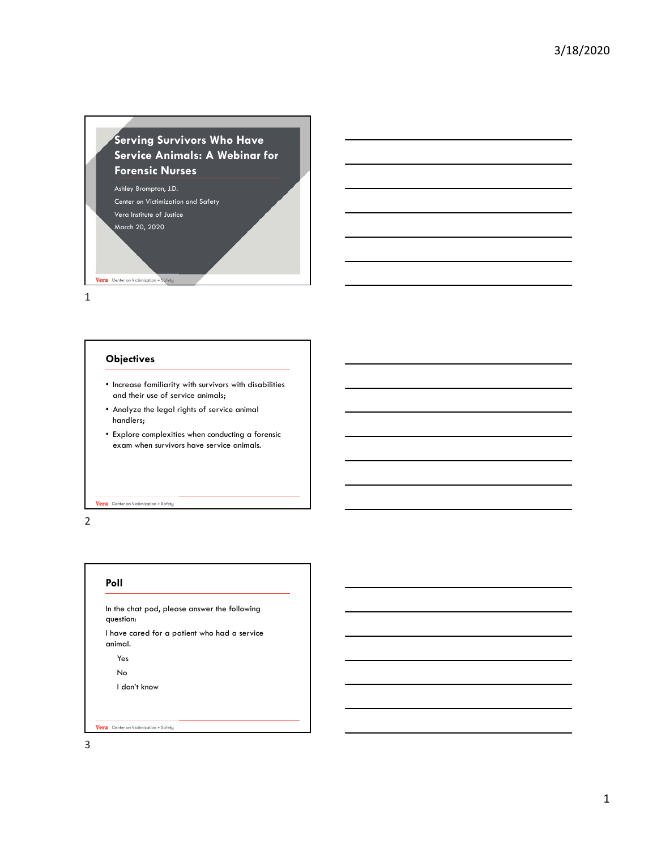# **Serving Survivors Who Have Service Animals: A Webinar for Forensic Nurses**

Ashley Brompton, J.D. Center on Victimization and Safety Vera Institute of Justice March 20, 2020 Vera Center on Victimization + Safety

1

## **Objectives**

- Increase familiarity with survivors with disabilities and their use of service animals;
- Analyze the legal rights of service animal handlers;
- Explore complexities when conducting a forensic exam when survivors have service animals.

#### Vera Center on Victimization + Safety

2

#### **Poll**

In the chat pod, please answer the following question:

I have cared for a patient who had a service animal.

Yes

No

I don't know

Vera Center on Victimization + Safety

3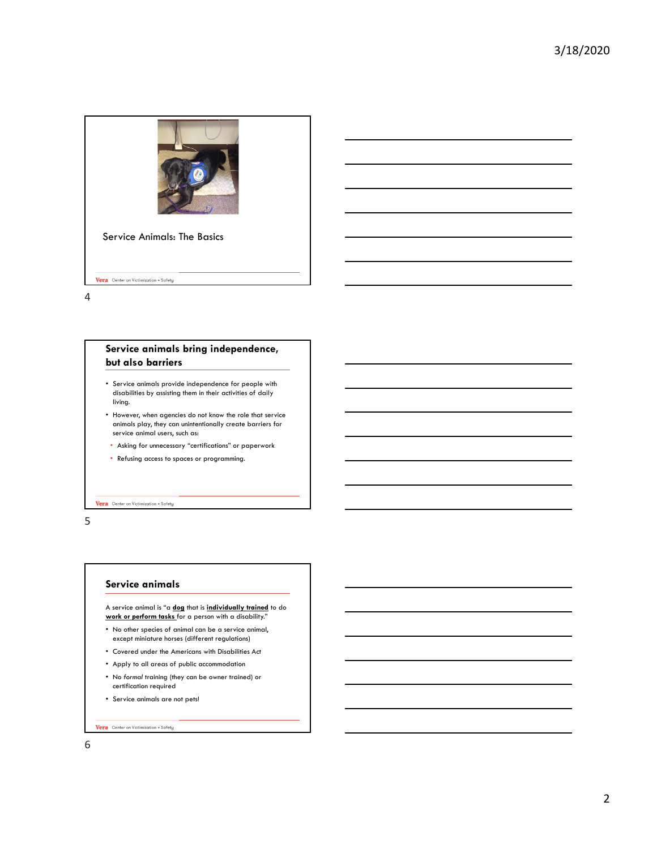

4

## **Service animals bring independence, but also barriers**

- Service animals provide independence for people with disabilities by assisting them in their activities of daily living.
- However, when agencies do not know the role that service animals play, they can unintentionally create barriers for service animal users, such as:
- Asking for unnecessary "certifications" or paperwork
- Refusing access to spaces or programming.

Vera Center on Victimization + Safety

5

### **Service animals**

A service animal is "a **dog** that is **individually trained** to do **work or perform tasks** for a person with a disability."

- No other species of animal can be a service animal, except miniature horses (different regulations)
- Covered under the Americans with Disabilities Act
- Apply to all areas of public accommodation
- No *formal* training (they can be owner trained) or certification required
- Service animals are not pets!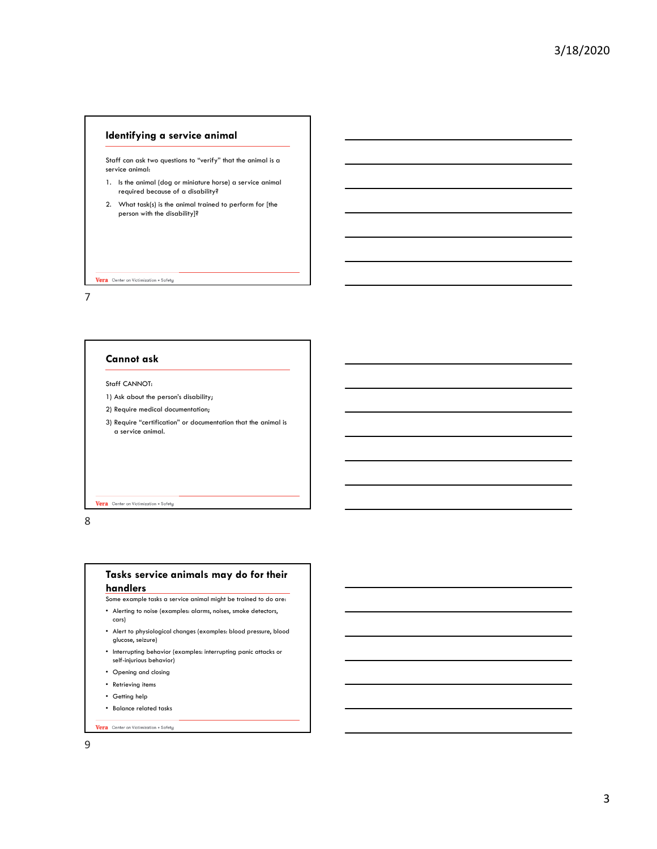## **Identifying a service animal**

Staff can ask two questions to "verify" that the animal is a service animal:

- 1. Is the animal (dog or miniature horse) a service animal required because of a disability?
- 2. What task(s) is the animal trained to perform for [the person with the disability]?

#### Vera Center on Victimization + Safety

7

## **Cannot ask**

## Staff CANNOT:

- 1) Ask about the person's disability;
- 2) Require medical documentation;
- 3) Require "certification" or documentation that the animal is a service animal.

#### Vera Center on Victimization + Safety

8

## **Tasks service animals may do for their handlers**

- Some example tasks a service animal might be trained to do are:
- Alerting to noise (examples: alarms, noises, smoke detectors, cars)
- Alert to physiological changes (examples: blood pressure, blood glucose, seizure)
- Interrupting behavior (examples: interrupting panic attacks or self-injurious behavior)
- Opening and closing
- Retrieving items
- Getting help
- Balance related tasks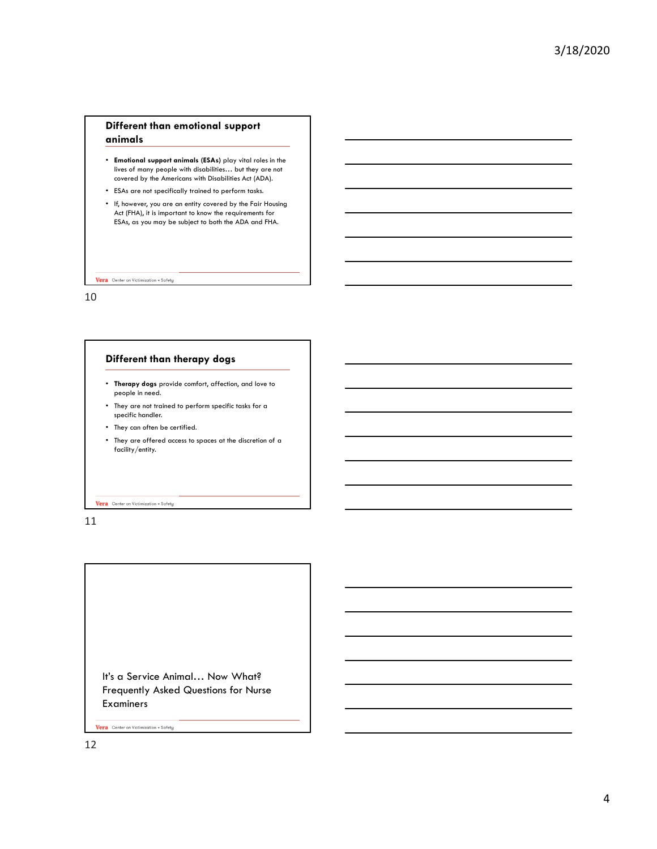## **Different than emotional support animals**

- **Emotional support animals (ESAs)** play vital roles in the lives of many people with disabilities… but they are not covered by the Americans with Disabilities Act (ADA).
- ESAs are not specifically trained to perform tasks.
- If, however, you are an entity covered by the Fair Housing Act (FHA), it is important to know the requirements for ESAs, as you may be subject to both the ADA and FHA.

Vera Center on Victimization + Safety

10

## **Different than therapy dogs**

- **Therapy dogs** provide comfort, affection, and love to people in need.
- They are not trained to perform specific tasks for a specific handler.
- They can often be certified.
- They are offered access to spaces at the discretion of a facility/entity.

#### Vera Center on Victimization + Safety

11

It's a Service Animal… Now What? Frequently Asked Questions for Nurse Examiners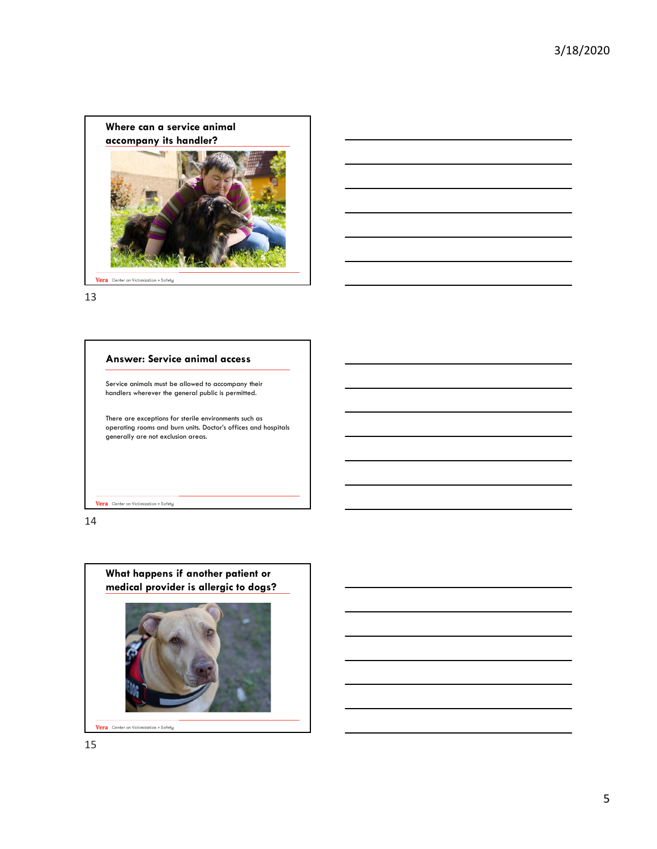

13

## **Answer: Service animal access**

Service animals must be allowed to accompany their handlers wherever the general public is permitted.

There are exceptions for sterile environments such as operating rooms and burn units. Doctor's offices and hospitals generally are not exclusion areas.

Vera Center on Victimization + Safety

14



Vera Center on Victimization + Safety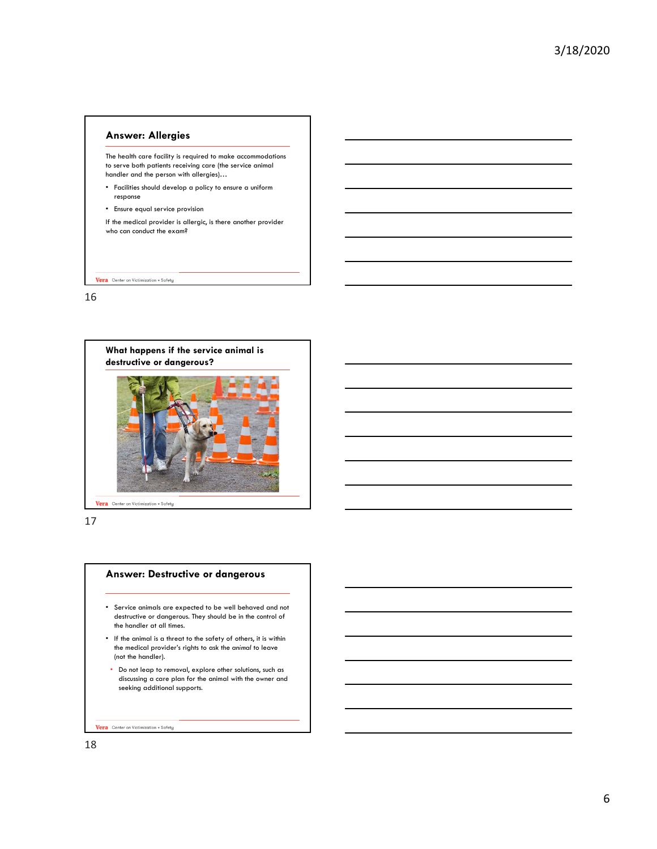# **Answer: Allergies**  The health care facility is required to make accommodations to serve both patients receiving care (the service animal handler and the person with allergies)… • Facilities should develop a policy to ensure a uniform response • Ensure equal service provision If the medical provider is allergic, is there another provider who can conduct the exam?

16

Vera Center on Victimization + Safety



17

#### **Answer: Destructive or dangerous**

- Service animals are expected to be well behaved and not destructive or dangerous. They should be in the control of the handler at all times.
- If the animal is a threat to the safety of others, it is within the medical provider's rights to ask the *animal* to leave (not the handler).
- Do not leap to removal, explore other solutions, such as discussing a care plan for the animal with the owner and seeking additional supports.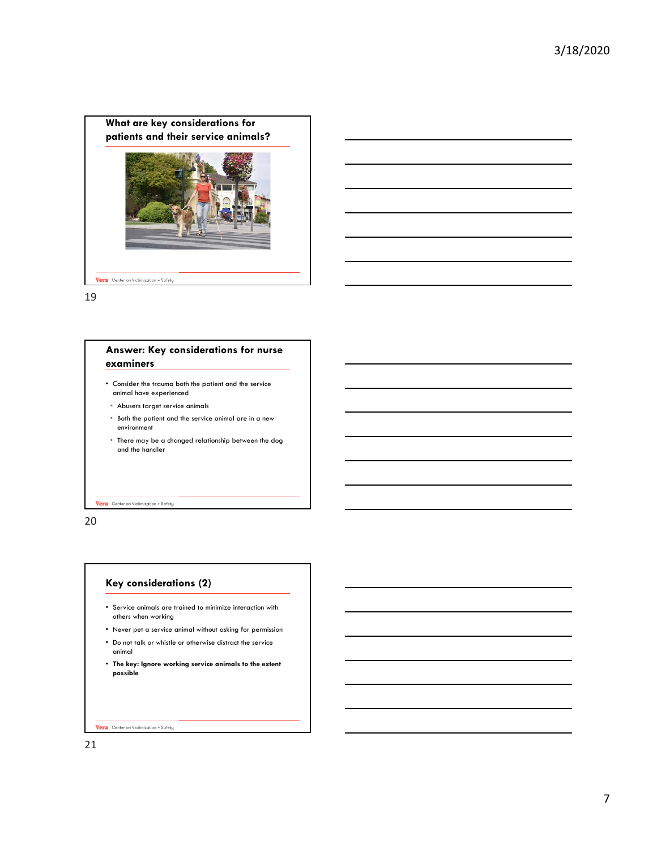

19

# **Answer: Key considerations for nurse examiners**

- Consider the trauma both the patient and the service animal have experienced
- Abusers target service animals
- Both the patient and the service animal are in a new environment
- There may be a changed relationship between the dog and the handler

#### Vera Center on Victimization + Safety

20

## **Key considerations (2)**

- Service animals are trained to minimize interaction with others when working
- Never pet a service animal without asking for permission
- Do not talk or whistle or otherwise distract the service animal
- **The key: Ignore working service animals to the extent possible**